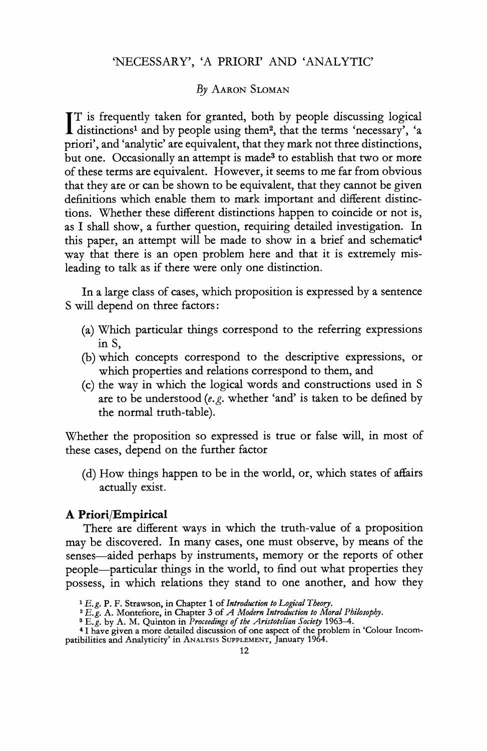### 'NECESSARY', 'A PRIORI' AND 'ANALYTIC'

#### By AARON SLOMAN

IT is frequently taken for granted, both by people discussing logical distinctions<sup>1</sup> and by people using them<sup>2</sup>, that the terms 'necessary', 'a **TT** is frequently taken for granted, both by people discussing logical priori', and 'analytic' are equivalent, that they mark not three distinctions, but one. Occasionally an attempt is made<sup>3</sup> to establish that two or more of these terms are equivalent. However, it seems to me far from obvious that they are or can be shown to be equivalent, that they cannot be given definitions which enable them to mark important and different distinctions. Whether these different distinctions happen to coincide or not is, as I shall show, a further question, requiring detailed investigation. In this paper, an attempt will be made to show in a brief and schematic4 way that there is an open problem here and that it is extremely misleading to talk as if there were only one distinction.

In a large class of cases, which proposition is expressed by a sentence S will depend on three factors:

- (a) Which particular things correspond to the referring expressions in S,
- (b) which concepts correspond to the descriptive expressions, or which properties and relations correspond to them, and
- (c) the way in which the logical words and constructions used in S are to be understood (e.g. whether 'and' is taken to be defined by the normal truth-table).

Whether the proposition so expressed is true or false will, in most of these cases, depend on the further factor

(d) How things happen to be in the world, or, which states of affairs actually exist.

### A Priori/Empirical

There are different ways in which the truth-value of a proposition may be discovered. In many cases, one must observe, by means of the senses-aided perhaps by instruments, memory or the reports of other people-particular things in the world, to find out what properties they possess, in which relations they stand to one another, and how they

<sup>&</sup>lt;sup>1</sup> E.g. P. F. Strawson, in Chapter 1 of *Introduction to Logical Theory*.<br><sup>2</sup> E.g. A. Montefiore, in Chapter 3 of *A Modern Introduction to Moral Philosophy*.<br><sup>3</sup> E.g. by A. M. Quinton in *Proceedings of the Aristotelian*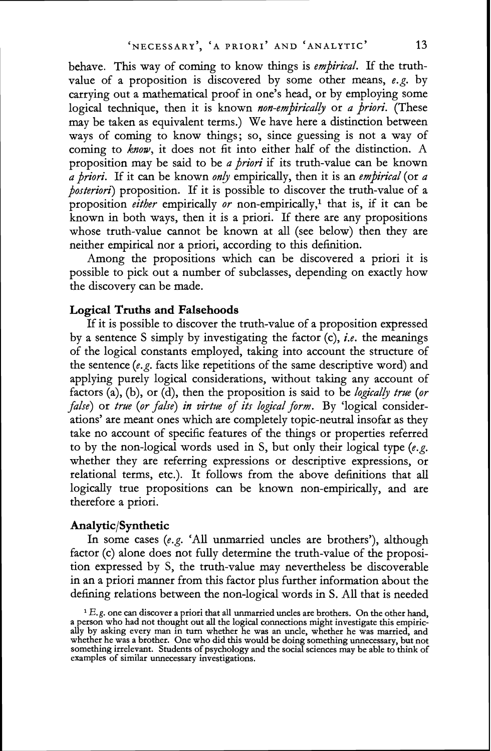behave. This way of coming to know things is empirical. If the truthvalue of a proposition is discovered by some other means, e.g. by carrying out a mathematical proof in one's head, or by employing some logical technique, then it is known *non-empirically* or a *briori*. (These may be taken as equivalent terms.) We have here a distinction between ways of coming to know things; so, since guessing is not a way of coming to know, it does not fit into either half of the distinction. A proposition may be said to be *a* priori if its truth-value can be known a priori. If it can be known only empirically, then it is an empirical (or a posteriori) proposition. If it is possible to discover the truth-value of a proposition *either* empirically or non-empirically,<sup>1</sup> that is, if it can be known in both ways, then it is a priori. If there are any propositions whose truth-value cannot be known at all (see below) then they are neither empirical nor a priori, according to this definition.

Among the propositions which can be discovered a priori it is possible to pick out a number of subclasses, depending on exactly how the discovery can be made.

### **Logical Truths and Falsehoods**

If it is possible to discover the truth-value of a proposition expressed by a sentence S simply by investigating the factor  $(c)$ , *i.e.* the meanings of the logical constants employed, taking into account the structure of the sentence (e.g. facts like repetitions of the same descriptive word) and applying purely logical considerations, without taking any account of factors (a), (b), or (d), then the proposition is said to be *logically true* (or false) or true (or false) in virtue of its logical form. By 'logical considerations' are meant ones which are completely topic-neutral insofar as they take no account of specific features of the things or properties referred to by the non-logical words used in S, but only their logical type  $(e.g.$ whether they are referring expressions or descriptive expressions, or relational terms, etc.). It follows from the above definitions that all logically true propositions can be known non-empirically, and are therefore a priori.

#### **Analytic/Synthetic**

In some cases  $(e.g. 'All unmarried uncles are brothers'), although$ factor (c) alone does not fully determine the truth-value of the proposition expressed by S, the truth-value may nevertheless be discoverable in an a priori manner from this factor plus further information about the defining relations between the non-logical words in S. All that is needed

*E,g,* one **can** discover a priori that all unmarried uncles are brothers. On the other hand, a person who had not thought out **all** the logical connections might investigate this empirically by asking every man in turn whether he was an uncle, whether he was married, and whether he was a brother. One who did this would be doing something unnecessary, but not something irrelevant. Students of psychology and the social sciences may be able to think of examples of similar unnecessary investigations.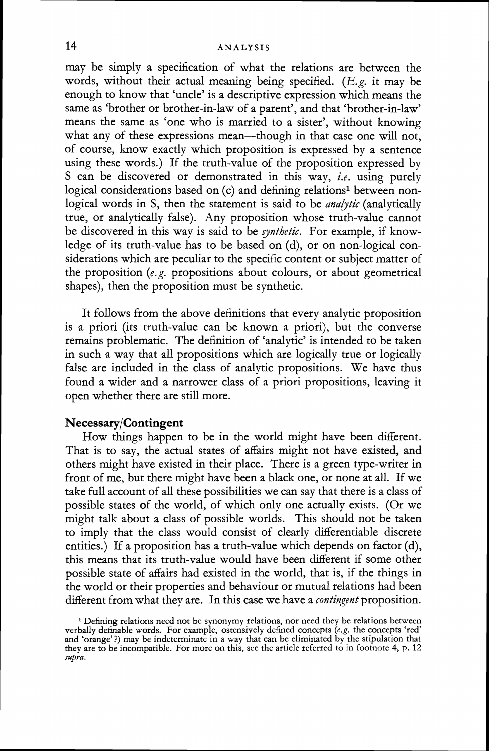## 14 ANALYSIS

may be simply a specification of what the relations are between the words, without their actual meaning being specified. *(E.g.* it may be enough to know that 'uncle' is a descriptive expression which means the same as 'brother or brother-in-law of a parent', and that 'brother-in-law' means the same as 'one who is married to a sister', without knowing what any of these expressions mean—though in that case one will not, of course, know exactly which proposition is expressed by a sentence using these words.) If the truth-value of the proposition expressed by S can be discovered or demonstrated in this way, *i.e.* using purely logical considerations based on (c) and defining relations<sup>1</sup> between nonlogical words in S, then the statement is said to be *analytic* (analytically true, or analytically false). Any proposition whose truth-value cannot be discovered in this way is said to be *synthetic*. For example, if knowledge of its truth-value has to be based on (d), or on non-logical considerations which are peculiar to the specific content or subject matter of the proposition  $(e, g, p$  propositions about colours, or about geometrical shapes), then the proposition must be synthetic.

It follows from the above definitions that every analytic proposition is a priori (its truth-value can be known a priori), but the converse remains problematic. The definition of 'analytic' is intended to be taken in such a way that all propositions which are logically true or logically false are included in the class of analytic propositions. We have thus found a wider and a narrower class of a priori propositions, leaving it open whether there are still more.

#### **Necessary/Contingent**

How things happen to be in the world might have been different. That is to say, the actual states of affairs might not have existed, and others might have existed in their place. There is a green type-writer in front of me, but there might have been a black one, or none at all. If we take full account of all these possibilities we can say that there is a class of possible states of the world, of which only one actually exists. (Or we might talk about a class of possible worlds. This should not be taken to imply that the class would consist of clearly differentiable discrete entities.) If a proposition has a truth-value which depends on factor (d), this means that its truth-value would have been different if some other possible state of affairs had existed in the world, that is, if the things in the world or their properties and behaviour or mutual relations had been different from what they are. In this case we have a *contingent* proposition.

Defining relations need not be synonymy relations, nor need they be relations between verbally definable words. For example, ostensively defined concepts  $(e.g.$  the concepts 'red' and 'orange'?) may be indeterminate in a way that can be eliminated by the stipulation that they are to be incompatible. For more on this, see the article referred to in footnote 4, p. 12 *supra.*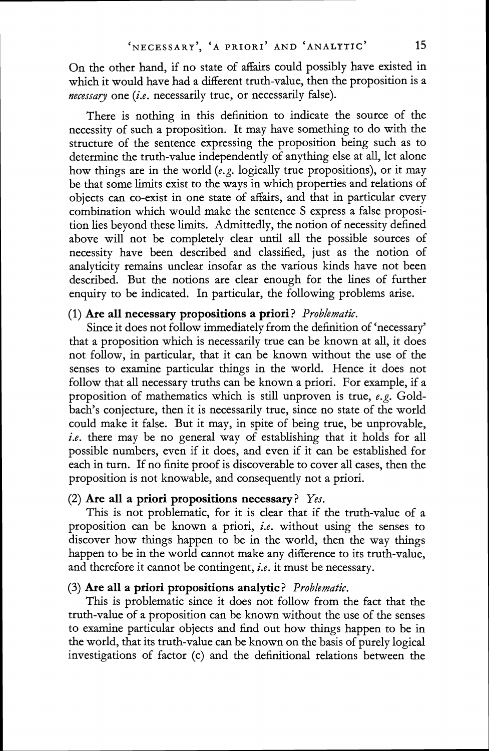On the other hand, if no state of affairs could possibly have existed in which it would have had a different truth-value, then the proposition is a necessary one  $(i.e.$  necessarily true, or necessarily false).

There is nothing in this definition to indicate the source of the necessity of such a proposition. It may have something to do with the structure of the sentence expressing the proposition being such as to determine the truth-value independently of anything else at all, let alone how things are in the world  $(e, g, \text{ logically true propositions})$ , or it may be that some limits exist to the ways in which properties and relations of objects can co-exist in one state of affairs, and that in particular every combination which would make the sentence S express a false proposition lies beyond these limits. Admittedly, the notion of necessity defined above will not be completely clear until all the possible sources of necessity have been described and classified, just as the notion of analyticity remains unclear insofar as the various kinds have not been described. But the notions are clear enough for the lines of further enquiry to be indicated. In particular, the following problems arise.

### (1) **Are all necessary propositions a priori?** Problematic.

Since it does not follow immediately from the definition of 'necessary' that a proposition which is necessarily true can be known at all, it does not follow, in particular, that it can be known without the use of the senses to examine particular things in the world. Hence it does not follow that all necessary truths can be known a priori. For example, if a proposition of mathematics which is still unproven is true, e.g. Goldbach's conjecture, then it is necessarily true, since no state of the world could make it false. But it may, in spite of being true, be unprovable, i.e. there may be no general way of establishing that it holds for all possible numbers, even if it does, and even if it can be established for each in turn. If no finite proof is discoverable to cover all cases, then the proposition is not knowable, and consequently not a priori.

## *(2)* **Are all a priori propositions necessary?** Yes.

This is not problematic, for it is clear that if the truth-value of a proposition can be known a priori, i.e. without using the senses to discover how things happen to be in the world, then the way things happen to be in the world cannot make any difference to its truth-value, and therefore it cannot be contingent, *i.e.* it must be necessary.

#### **(3) Are all a priori propositions analytic?** Problematic.

This is problematic since it does not follow from the fact that the truth-value of a proposition can be known without the use of the senses to examine particular objects and find out how things happen to be in the world, that its truth-value can be known on the basis of purely logical investigations of factor (c) and the definitional relations between the